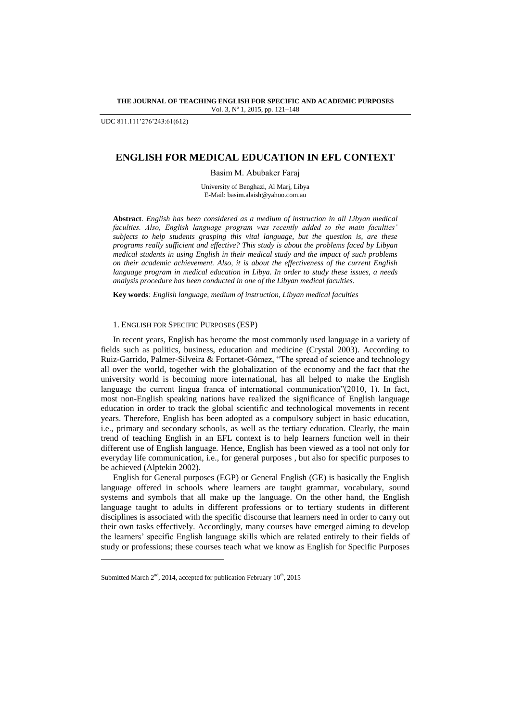#### **THE JOURNAL OF TEACHING ENGLISH FOR SPECIFIC AND ACADEMIC PURPOSES** Vol. 3, Nº 1, 2015, pp. 121-148

UDC 811.111'276'243:61(612)

# **ENGLISH FOR MEDICAL EDUCATION IN EFL CONTEXT**

Basim M. Abubaker Faraj

University of Benghazi, Al Marj, Libya E-Mail: basim.alaish@yahoo.com.au

**Abstract***. English has been considered as a medium of instruction in all Libyan medical faculties. Also, English language program was recently added to the main faculties' subjects to help students grasping this vital language, but the question is, are these programs really sufficient and effective? This study is about the problems faced by Libyan medical students in using English in their medical study and the impact of such problems on their academic achievement. Also, it is about the effectiveness of the current English language program in medical education in Libya. In order to study these issues, a needs analysis procedure has been conducted in one of the Libyan medical faculties.*

**Key words***: English language, medium of instruction, Libyan medical faculties*

## 1. ENGLISH FOR SPECIFIC PURPOSES (ESP)

In recent years, English has become the most commonly used language in a variety of fields such as politics, business, education and medicine (Crystal 2003). According to Ruiz-Garrido, Palmer-Silveira & Fortanet-Gómez, "The spread of science and technology all over the world, together with the globalization of the economy and the fact that the university world is becoming more international, has all helped to make the English language the current lingua franca of international communication"(2010, 1). In fact, most non-English speaking nations have realized the significance of English language education in order to track the global scientific and technological movements in recent years. Therefore, English has been adopted as a compulsory subject in basic education, i.e., primary and secondary schools, as well as the tertiary education. Clearly, the main trend of teaching English in an EFL context is to help learners function well in their different use of English language. Hence, English has been viewed as a tool not only for everyday life communication, i.e., for general purposes , but also for specific purposes to be achieved (Alptekin 2002).

English for General purposes (EGP) or General English (GE) is basically the English language offered in schools where learners are taught grammar, vocabulary, sound systems and symbols that all make up the language. On the other hand, the English language taught to adults in different professions or to tertiary students in different disciplines is associated with the specific discourse that learners need in order to carry out their own tasks effectively. Accordingly, many courses have emerged aiming to develop the learners' specific English language skills which are related entirely to their fields of study or professions; these courses teach what we know as English for Specific Purposes

l

Submitted March  $2<sup>nd</sup>$ , 2014, accepted for publication February  $10<sup>th</sup>$ , 2015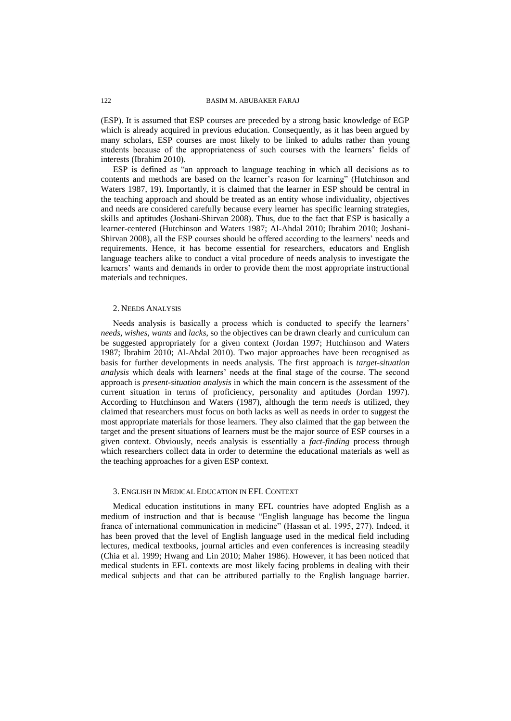(ESP). It is assumed that ESP courses are preceded by a strong basic knowledge of EGP which is already acquired in previous education. Consequently, as it has been argued by many scholars, ESP courses are most likely to be linked to adults rather than young students because of the appropriateness of such courses with the learners' fields of interests (Ibrahim 2010).

ESP is defined as "an approach to language teaching in which all decisions as to contents and methods are based on the learner's reason for learning" (Hutchinson and Waters 1987, 19). Importantly, it is claimed that the learner in ESP should be central in the teaching approach and should be treated as an entity whose individuality, objectives and needs are considered carefully because every learner has specific learning strategies, skills and aptitudes (Joshani-Shirvan 2008). Thus, due to the fact that ESP is basically a learner-centered (Hutchinson and Waters 1987; Al-Ahdal 2010; Ibrahim 2010; Joshani-Shirvan 2008), all the ESP courses should be offered according to the learners' needs and requirements. Hence, it has become essential for researchers, educators and English language teachers alike to conduct a vital procedure of needs analysis to investigate the learners' wants and demands in order to provide them the most appropriate instructional materials and techniques.

### 2. NEEDS ANALYSIS

Needs analysis is basically a process which is conducted to specify the learners' *needs, wishes, wants* and *lacks*, so the objectives can be drawn clearly and curriculum can be suggested appropriately for a given context (Jordan 1997; Hutchinson and Waters 1987; Ibrahim 2010; Al-Ahdal 2010). Two major approaches have been recognised as basis for further developments in needs analysis. The first approach is *target-situation analysis* which deals with learners' needs at the final stage of the course. The second approach is *present-situation analysis* in which the main concern is the assessment of the current situation in terms of proficiency, personality and aptitudes (Jordan 1997). According to Hutchinson and Waters (1987), although the term *needs* is utilized, they claimed that researchers must focus on both lacks as well as needs in order to suggest the most appropriate materials for those learners. They also claimed that the gap between the target and the present situations of learners must be the major source of ESP courses in a given context. Obviously, needs analysis is essentially a *fact-finding* process through which researchers collect data in order to determine the educational materials as well as the teaching approaches for a given ESP context.

### 3. ENGLISH IN MEDICAL EDUCATION IN EFL CONTEXT

Medical education institutions in many EFL countries have adopted English as a medium of instruction and that is because "English language has become the lingua franca of international communication in medicine" (Hassan et al. 1995, 277). Indeed, it has been proved that the level of English language used in the medical field including lectures, medical textbooks, journal articles and even conferences is increasing steadily (Chia et al. 1999; Hwang and Lin 2010; Maher 1986). However, it has been noticed that medical students in EFL contexts are most likely facing problems in dealing with their medical subjects and that can be attributed partially to the English language barrier.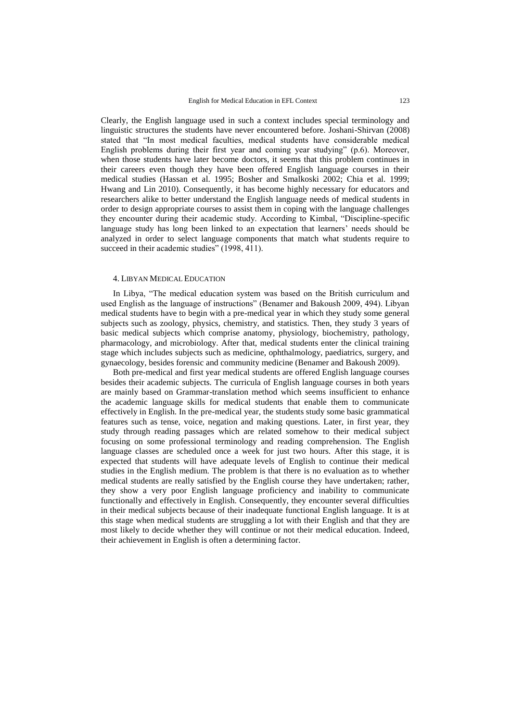Clearly, the English language used in such a context includes special terminology and linguistic structures the students have never encountered before. Joshani-Shirvan (2008) stated that "In most medical faculties, medical students have considerable medical English problems during their first year and coming year studying" (p.6). Moreover, when those students have later become doctors, it seems that this problem continues in their careers even though they have been offered English language courses in their medical studies (Hassan et al. 1995; Bosher and Smalkoski 2002; Chia et al. 1999; Hwang and Lin 2010). Consequently, it has become highly necessary for educators and researchers alike to better understand the English language needs of medical students in order to design appropriate courses to assist them in coping with the language challenges they encounter during their academic study. According to Kimbal, "Discipline-specific language study has long been linked to an expectation that learners' needs should be analyzed in order to select language components that match what students require to succeed in their academic studies" (1998, 411).

### 4. LIBYAN MEDICAL EDUCATION

In Libya, "The medical education system was based on the British curriculum and used English as the language of instructions" (Benamer and Bakoush 2009, 494). Libyan medical students have to begin with a pre-medical year in which they study some general subjects such as zoology, physics, chemistry, and statistics. Then, they study 3 years of basic medical subjects which comprise anatomy, physiology, biochemistry, pathology, pharmacology, and microbiology. After that, medical students enter the clinical training stage which includes subjects such as medicine, ophthalmology, paediatrics, surgery, and gynaecology, besides forensic and community medicine (Benamer and Bakoush 2009).

Both pre-medical and first year medical students are offered English language courses besides their academic subjects. The curricula of English language courses in both years are mainly based on Grammar-translation method which seems insufficient to enhance the academic language skills for medical students that enable them to communicate effectively in English. In the pre-medical year, the students study some basic grammatical features such as tense, voice, negation and making questions. Later, in first year, they study through reading passages which are related somehow to their medical subject focusing on some professional terminology and reading comprehension. The English language classes are scheduled once a week for just two hours. After this stage, it is expected that students will have adequate levels of English to continue their medical studies in the English medium. The problem is that there is no evaluation as to whether medical students are really satisfied by the English course they have undertaken; rather, they show a very poor English language proficiency and inability to communicate functionally and effectively in English. Consequently, they encounter several difficulties in their medical subjects because of their inadequate functional English language. It is at this stage when medical students are struggling a lot with their English and that they are most likely to decide whether they will continue or not their medical education. Indeed, their achievement in English is often a determining factor.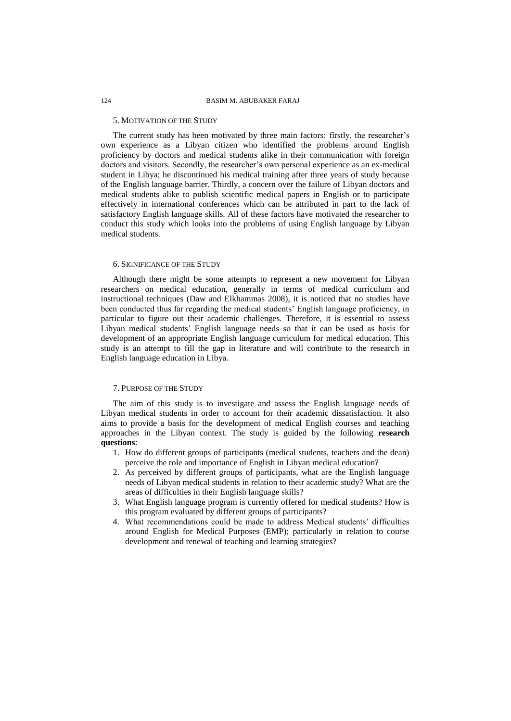#### 5. MOTIVATION OF THE STUDY

The current study has been motivated by three main factors: firstly, the researcher's own experience as a Libyan citizen who identified the problems around English proficiency by doctors and medical students alike in their communication with foreign doctors and visitors. Secondly, the researcher's own personal experience as an ex-medical student in Libya; he discontinued his medical training after three years of study because of the English language barrier. Thirdly, a concern over the failure of Libyan doctors and medical students alike to publish scientific medical papers in English or to participate effectively in international conferences which can be attributed in part to the lack of satisfactory English language skills. All of these factors have motivated the researcher to conduct this study which looks into the problems of using English language by Libyan medical students.

#### 6. SIGNIFICANCE OF THE STUDY

Although there might be some attempts to represent a new movement for Libyan researchers on medical education, generally in terms of medical curriculum and instructional techniques (Daw and Elkhammas 2008), it is noticed that no studies have been conducted thus far regarding the medical students' English language proficiency, in particular to figure out their academic challenges. Therefore, it is essential to assess Libyan medical students' English language needs so that it can be used as basis for development of an appropriate English language curriculum for medical education. This study is an attempt to fill the gap in literature and will contribute to the research in English language education in Libya.

### 7. PURPOSE OF THE STUDY

The aim of this study is to investigate and assess the English language needs of Libyan medical students in order to account for their academic dissatisfaction. It also aims to provide a basis for the development of medical English courses and teaching approaches in the Libyan context. The study is guided by the following **research questions**:

- 1. How do different groups of participants (medical students, teachers and the dean) perceive the role and importance of English in Libyan medical education?
- 2. As perceived by different groups of participants, what are the English language needs of Libyan medical students in relation to their academic study? What are the areas of difficulties in their English language skills?
- 3. What English language program is currently offered for medical students? How is this program evaluated by different groups of participants?
- 4. What recommendations could be made to address Medical students' difficulties around English for Medical Purposes (EMP); particularly in relation to course development and renewal of teaching and learning strategies?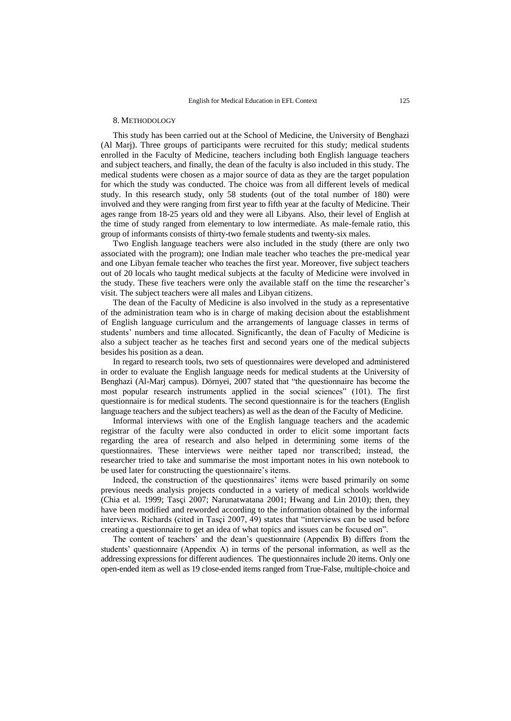#### 8. METHODOLOGY

This study has been carried out at the School of Medicine, the University of Benghazi (Al Marj). Three groups of participants were recruited for this study; medical students enrolled in the Faculty of Medicine, teachers including both English language teachers and subject teachers, and finally, the dean of the faculty is also included in this study. The medical students were chosen as a major source of data as they are the target population for which the study was conducted. The choice was from all different levels of medical study. In this research study, only 58 students (out of the total number of 180) were involved and they were ranging from first year to fifth year at the faculty of Medicine. Their ages range from 18-25 years old and they were all Libyans. Also, their level of English at the time of study ranged from elementary to low intermediate. As male-female ratio, this group of informants consists of thirty-two female students and twenty-six males.

Two English language teachers were also included in the study (there are only two associated with the program); one Indian male teacher who teaches the pre-medical year and one Libyan female teacher who teaches the first year. Moreover, five subject teachers out of 20 locals who taught medical subjects at the faculty of Medicine were involved in the study. These five teachers were only the available staff on the time the researcher's visit. The subject teachers were all males and Libyan citizens.

The dean of the Faculty of Medicine is also involved in the study as a representative of the administration team who is in charge of making decision about the establishment of English language curriculum and the arrangements of language classes in terms of students' numbers and time allocated. Significantly, the dean of Faculty of Medicine is also a subject teacher as he teaches first and second years one of the medical subjects besides his position as a dean.

In regard to research tools, two sets of questionnaires were developed and administered in order to evaluate the English language needs for medical students at the University of Benghazi (Al-Marj campus). Dörnyei, 2007 stated that "the questionnaire has become the most popular research instruments applied in the social sciences" (101). The first questionnaire is for medical students. The second questionnaire is for the teachers (English language teachers and the subject teachers) as well as the dean of the Faculty of Medicine.

Informal interviews with one of the English language teachers and the academic registrar of the faculty were also conducted in order to elicit some important facts regarding the area of research and also helped in determining some items of the questionnaires. These interviews were neither taped nor transcribed; instead, the researcher tried to take and summarise the most important notes in his own notebook to be used later for constructing the questionnaire's items.

Indeed, the construction of the questionnaires' items were based primarily on some previous needs analysis projects conducted in a variety of medical schools worldwide (Chia et al. 1999; Tasçi 2007; Narunatwatana 2001; Hwang and Lin 2010); then, they have been modified and reworded according to the information obtained by the informal interviews. Richards (cited in Tasçi 2007, 49) states that "interviews can be used before creating a questionnaire to get an idea of what topics and issues can be focused on".

The content of teachers' and the dean's questionnaire (Appendix B) differs from the students' questionnaire (Appendix A) in terms of the personal information, as well as the addressing expressions for different audiences. The questionnaires include 20 items. Only one open-ended item as well as 19 close-ended items ranged from True-False, multiple-choice and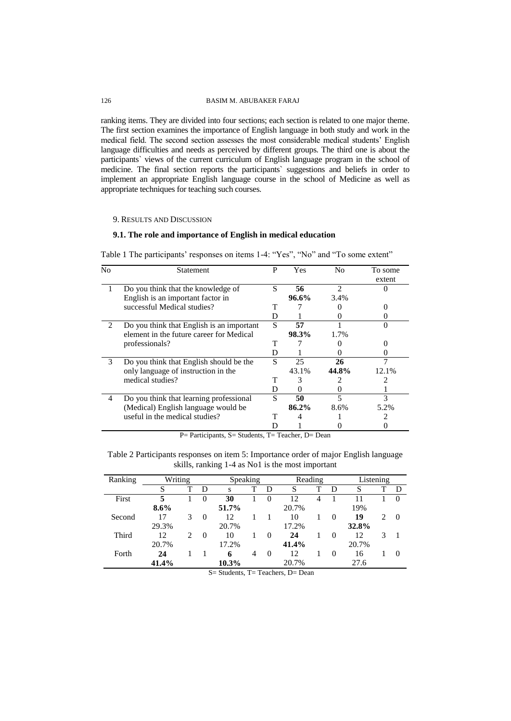ranking items. They are divided into four sections; each section is related to one major theme. The first section examines the importance of English language in both study and work in the medical field. The second section assesses the most considerable medical students' English language difficulties and needs as perceived by different groups. The third one is about the participants` views of the current curriculum of English language program in the school of medicine. The final section reports the participants` suggestions and beliefs in order to implement an appropriate English language course in the school of Medicine as well as appropriate techniques for teaching such courses.

# 9. RESULTS AND DISCUSSION

### **9.1. The role and importance of English in medical education**

|  |  | Table 1 The participants' responses on items 1-4: "Yes", "No" and "To some extent" |  |  |  |
|--|--|------------------------------------------------------------------------------------|--|--|--|
|--|--|------------------------------------------------------------------------------------|--|--|--|

| N <sub>0</sub> | <b>Statement</b>                          | P | Yes   | N <sub>0</sub> | To some<br>extent |
|----------------|-------------------------------------------|---|-------|----------------|-------------------|
| 1              | Do you think that the knowledge of        | S | 56    | $\overline{c}$ |                   |
|                | English is an important factor in         |   | 96.6% | 3.4%           |                   |
|                | successful Medical studies?               | т |       |                |                   |
|                |                                           | D |       | 0              |                   |
| 2              | Do you think that English is an important | S | 57    |                |                   |
|                | element in the future career for Medical  |   | 98.3% | 1.7%           |                   |
|                | professionals?                            | т |       |                |                   |
|                |                                           | D |       |                |                   |
| 3              | Do you think that English should be the   | S | 25    | 26             |                   |
|                | only language of instruction in the       |   | 43.1% | 44.8%          | 12.1%             |
|                | medical studies?                          | т | 3     |                |                   |
|                |                                           | D |       |                |                   |
| 4              | Do you think that learning professional   | S | 50    |                | 3                 |
|                | (Medical) English language would be       |   | 86.2% | 8.6%           | 5.2%              |
|                | useful in the medical studies?            | т |       |                |                   |
|                |                                           |   |       |                |                   |

P= Participants, S= Students, T= Teacher, D= Dean

| Table 2 Participants responses on item 5: Importance order of major English language |  |
|--------------------------------------------------------------------------------------|--|
|                                                                                      |  |
| skills, ranking 1-4 as No1 is the most important                                     |  |

| Ranking | Writing |                             |          | Speaking                                                      |   |          | Reading       |   |          | Listening |                             |                  |
|---------|---------|-----------------------------|----------|---------------------------------------------------------------|---|----------|---------------|---|----------|-----------|-----------------------------|------------------|
|         | S       |                             | D        | s                                                             |   | D        |               |   | D        | S         |                             | D                |
| First   | 5       |                             | $\theta$ | 30                                                            |   | $\theta$ | 12            | 4 |          |           |                             | $\left( \right)$ |
|         | $8.6\%$ |                             |          | 51.7%                                                         |   |          | 20.7%         |   |          | 19%       |                             |                  |
| Second  | 17      | 3                           | $\Omega$ | 12                                                            |   |          | 10            |   | $\theta$ | 19        | $\mathcal{D}_{\mathcal{L}}$ | $\Omega$         |
|         | 29.3%   |                             |          | 20.7%                                                         |   |          | 17.2%         |   |          | 32.8%     |                             |                  |
| Third   | 12      | $\mathcal{D}_{\mathcal{L}}$ | $\theta$ | 10                                                            |   | $\theta$ | 24            |   | $\theta$ | 12        | 3                           |                  |
|         | 20.7%   |                             |          | 17.2%                                                         |   |          | 41.4%         |   |          | 20.7%     |                             |                  |
| Forth   | 24      |                             |          | 6                                                             | 4 | $\theta$ | 12            |   | $\theta$ | 16        |                             | $\theta$         |
|         | 41.4%   |                             |          | 10.3%                                                         |   |          | 20.7%         |   |          | 27.6      |                             |                  |
|         |         |                             |          | $\alpha$ $\alpha$ , $\alpha$ , $\alpha$ , $\alpha$ , $\alpha$ |   |          | $\sim$ $\sim$ |   |          |           |                             |                  |

S= Students, T= Teachers, D= Dean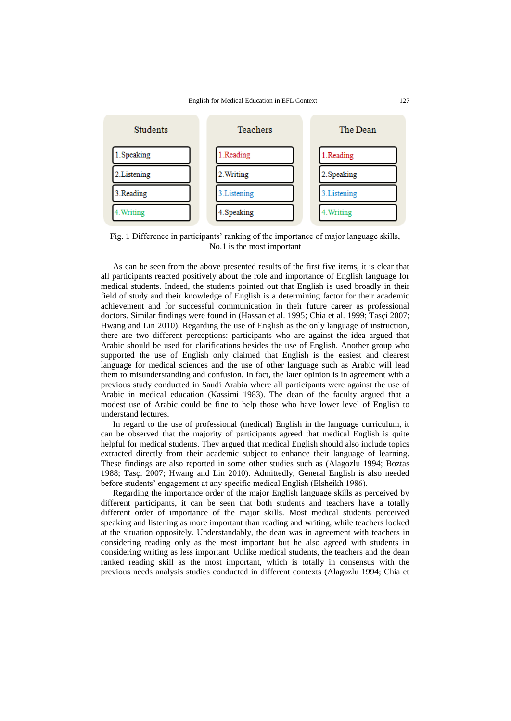

Fig. 1 Difference in participants' ranking of the importance of major language skills, No.1 is the most important

As can be seen from the above presented results of the first five items, it is clear that all participants reacted positively about the role and importance of English language for medical students. Indeed, the students pointed out that English is used broadly in their field of study and their knowledge of English is a determining factor for their academic achievement and for successful communication in their future career as professional doctors. Similar findings were found in (Hassan et al. 1995; Chia et al. 1999; Tasçi 2007; Hwang and Lin 2010). Regarding the use of English as the only language of instruction, there are two different perceptions: participants who are against the idea argued that Arabic should be used for clarifications besides the use of English. Another group who supported the use of English only claimed that English is the easiest and clearest language for medical sciences and the use of other language such as Arabic will lead them to misunderstanding and confusion. In fact, the later opinion is in agreement with a previous study conducted in Saudi Arabia where all participants were against the use of Arabic in medical education (Kassimi 1983). The dean of the faculty argued that a modest use of Arabic could be fine to help those who have lower level of English to understand lectures.

In regard to the use of professional (medical) English in the language curriculum, it can be observed that the majority of participants agreed that medical English is quite helpful for medical students. They argued that medical English should also include topics extracted directly from their academic subject to enhance their language of learning. These findings are also reported in some other studies such as (Alagozlu 1994; Boztas 1988; Tasçi 2007; Hwang and Lin 2010). Admittedly, General English is also needed before students' engagement at any specific medical English (Elsheikh 1986).

Regarding the importance order of the major English language skills as perceived by different participants, it can be seen that both students and teachers have a totally different order of importance of the major skills. Most medical students perceived speaking and listening as more important than reading and writing, while teachers looked at the situation oppositely. Understandably, the dean was in agreement with teachers in considering reading only as the most important but he also agreed with students in considering writing as less important. Unlike medical students, the teachers and the dean ranked reading skill as the most important, which is totally in consensus with the previous needs analysis studies conducted in different contexts (Alagozlu 1994; Chia et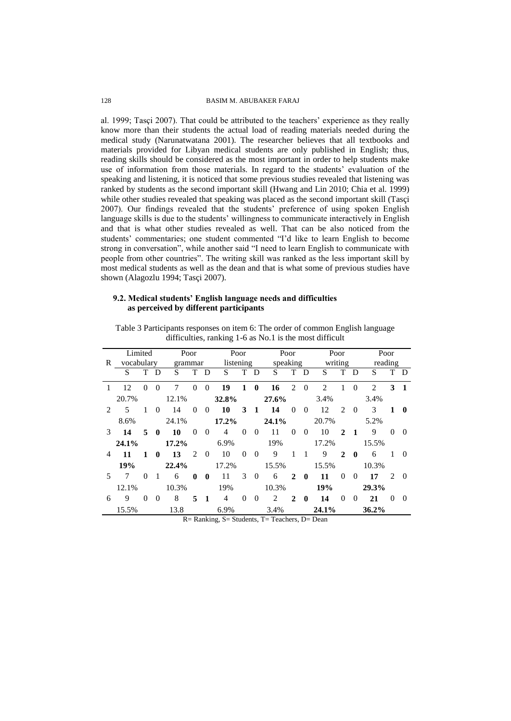al. 1999; Tasçi 2007). That could be attributed to the teachers' experience as they really know more than their students the actual load of reading materials needed during the medical study (Narunatwatana 2001). The researcher believes that all textbooks and materials provided for Libyan medical students are only published in English; thus, reading skills should be considered as the most important in order to help students make use of information from those materials. In regard to the students' evaluation of the speaking and listening, it is noticed that some previous studies revealed that listening was ranked by students as the second important skill (Hwang and Lin 2010; Chia et al. 1999) while other studies revealed that speaking was placed as the second important skill (Tasçi 2007). Our findings revealed that the students' preference of using spoken English language skills is due to the students' willingness to communicate interactively in English and that is what other studies revealed as well. That can be also noticed from the students' commentaries; one student commented "I'd like to learn English to become strong in conversation", while another said "I need to learn English to communicate with people from other countries". The writing skill was ranked as the less important skill by most medical students as well as the dean and that is what some of previous studies have shown (Alagozlu 1994; Tasçi 2007).

# **9.2. Medical students' English language needs and difficulties as perceived by different participants**

|                | Limited    |          |              | Poor    |          |                | Poor           |                |              | Poor                  |                |              | Poor           |                               |                | Poor           |               |          |
|----------------|------------|----------|--------------|---------|----------|----------------|----------------|----------------|--------------|-----------------------|----------------|--------------|----------------|-------------------------------|----------------|----------------|---------------|----------|
| R              | vocabulary |          |              | grammar |          |                | listening      |                |              | speaking              |                |              | writing        |                               |                | reading        |               |          |
|                | S          | T        | D            | S       | T        | D              | S              | T              | D            | S                     | T              | D            | S              | T                             | $\mathbf{D}$   | S              |               | T D      |
| 1              | 12         | $\theta$ | $\Omega$     | 7       | $\theta$ | $\Omega$       | 19             | 1              | $\mathbf{0}$ | 16                    | $\mathfrak{D}$ | $\Omega$     | $\overline{c}$ | 1                             | $\Omega$       | $\mathfrak{D}$ | 3             | -1       |
|                | 20.7%      |          |              | 12.1%   |          |                | 32.8%          |                |              | 27.6%                 |                |              | 3.4%           |                               |                | 3.4%           |               |          |
| $\mathfrak{D}$ | 5          | 1        | $\Omega$     | 14      | $\Omega$ | $\overline{0}$ | 10             | 3              | $\mathbf{1}$ | 14                    | $\theta$       | $\theta$     | 12             | $\mathfrak{D}_{\mathfrak{p}}$ | $\overline{0}$ | 3              | 1             | $\bf{0}$ |
|                | 8.6%       |          |              | 24.1%   |          |                | 17.2%          |                |              | 24.1%                 |                |              | 20.7%          |                               |                | 5.2%           |               |          |
| 3              | 14         | 5        | $\mathbf{0}$ | 10      | $\Omega$ | $\theta$       | $\overline{4}$ | $\overline{0}$ | $\theta$     | 11                    | $\theta$       | $\theta$     | 10             | 2                             | -1             | 9              | $\Omega$      | $\theta$ |
|                | 24.1%      |          |              | 17.2%   |          |                | 6.9%           |                |              | 19%                   |                |              | 17.2%          |                               |                | 15.5%          |               |          |
| 4              | 11         | 1        | $\mathbf{0}$ | 13      | 2        | $\overline{0}$ | 10             | $\mathbf{0}$   | $\theta$     | 9                     |                | 1            | 9              | $\mathbf{2}$                  | $\mathbf{0}$   | 6              |               | $\Omega$ |
|                | 19%        |          |              | 22.4%   |          |                | 17.2%          |                |              | 15.5%                 |                |              | 15.5%          |                               |                | 10.3%          |               |          |
| 5              | 7          | $\theta$ | 1            | 6       | $\bf{0}$ | $\mathbf{0}$   | 11             | 3              | $\theta$     | 6                     | 2              | $\mathbf{0}$ | 11             | $\Omega$                      | $\Omega$       | 17             | $\mathcal{L}$ | $\Omega$ |
|                | 12.1%      |          |              | 10.3%   |          |                | 19%            |                |              | 10.3%                 |                |              | 19%            |                               |                | 29.3%          |               |          |
| 6              | 9          | $\theta$ | $\theta$     | 8       | 5        | $\mathbf{1}$   | $\overline{4}$ | $\theta$       | $\theta$     | 2                     | $\mathbf{2}$   | $\mathbf{0}$ | 14             | $\Omega$                      | $\Omega$       | 21             | $\Omega$      | $\theta$ |
|                | 15.5%      |          |              | 13.8    |          |                | 6.9%           |                |              | 3.4%<br>nni coismminn |                |              | 24.1%          |                               |                | 36.2%          |               |          |

Table 3 Participants responses on item 6: The order of common English language difficulties, ranking 1-6 as No.1 is the most difficult

R= Ranking, S= Students, T= Teachers, D= Dean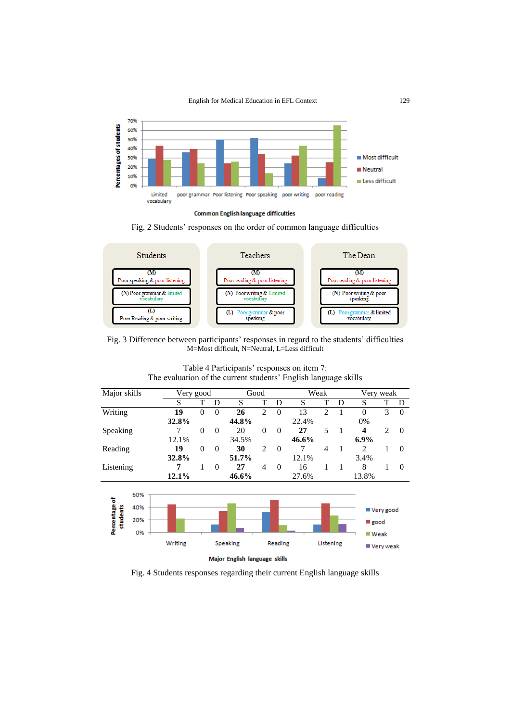English for Medical Education in EFL Context 129





Fig. 2 Students' responses on the order of common language difficulties



Fig. 3 Difference between participants' responses in regard to the students' difficulties M=Most difficult, N=Neutral, L=Less difficult

| Major skills              |                         | Very good |          |          |                               | Good           |          |       | Weak           |   | Very weak                   |                            |          |
|---------------------------|-------------------------|-----------|----------|----------|-------------------------------|----------------|----------|-------|----------------|---|-----------------------------|----------------------------|----------|
|                           |                         | S         | T        | D        | S                             | T              | D        | S     | T              | D | S                           | T                          | D        |
| Writing                   |                         | 19        | $\theta$ | $\theta$ | 26                            | $\overline{2}$ | $\Omega$ | 13    | $\overline{2}$ | 1 | $\Omega$                    | 3                          | $\Omega$ |
|                           |                         | 32.8%     |          |          | 44.8%                         |                |          | 22.4% |                |   | 0%                          |                            |          |
| Speaking                  |                         | 7         | $\theta$ | $\theta$ | 20                            | $\theta$       | $\theta$ | 27    | 5              | 1 | 4                           | $\overline{2}$             | $\Omega$ |
|                           |                         | 12.1%     |          |          | 34.5%                         |                |          | 46.6% |                |   | $6.9\%$                     |                            |          |
| Reading                   |                         | 19        | $\theta$ | $\theta$ | 30                            | $\overline{c}$ | $\Omega$ | 7     | $\overline{4}$ | 1 | 2                           | 1                          | $\Omega$ |
|                           |                         | 32.8%     |          |          | 51.7%                         |                |          | 12.1% |                |   | 3.4%                        |                            |          |
| Listening                 |                         | 7         | 1        | $\theta$ | 27                            | $\overline{4}$ | $\theta$ | 16    | 1              | 1 | 8                           | 1                          | $\Omega$ |
|                           |                         | 12.1%     |          |          | 46.6%                         |                |          | 27.6% |                |   | 13.8%                       |                            |          |
| Percentage of<br>students | 60%<br>40%<br>20%<br>0% | Writing   |          |          | Speaking                      |                | Reading  |       | Listening      |   | good<br>$\blacksquare$ Weak | ■ Very good<br>■ Very weak |          |
|                           |                         |           |          |          | Major English language skills |                |          |       |                |   |                             |                            |          |

Table 4 Participants' responses on item 7: The evaluation of the current students' English language skills

Fig. 4 Students responses regarding their current English language skills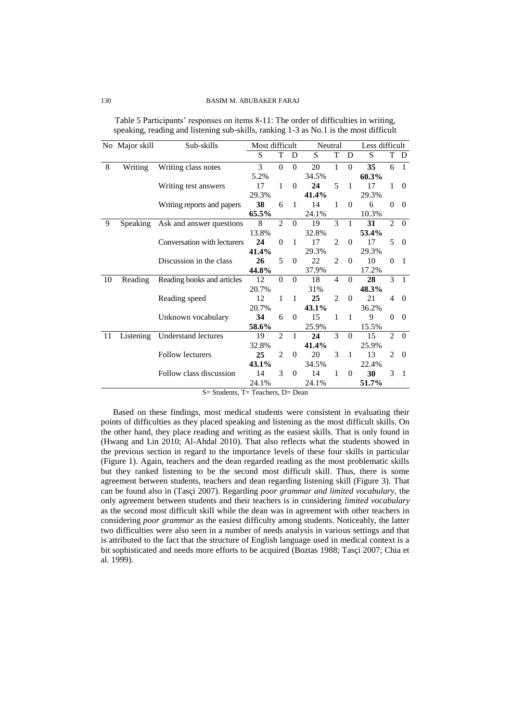|    | No Major skill | Sub-skills                  | Most difficult |                |          | Neutral |                |              | Less difficult |                |                  |
|----|----------------|-----------------------------|----------------|----------------|----------|---------|----------------|--------------|----------------|----------------|------------------|
|    |                |                             | S              | T              | D        | S       | T              | D            | S              | T              | D                |
| 8  | Writing        | Writing class notes         | 3              | $\theta$       | $\theta$ | 20      | 1              | $\theta$     | 35             | 6              | $\mathbf{1}$     |
|    |                |                             | 5.2%           |                |          | 34.5%   |                |              | 60.3%          |                |                  |
|    |                | Writing test answers        | 17             | 1              | $\Omega$ | 24      | 5              | $\mathbf{1}$ | 17             | 1              | $\boldsymbol{0}$ |
|    |                |                             | 29.3%          |                |          | 41.4%   |                |              | 29.3%          |                |                  |
|    |                | Writing reports and papers  | 38             | 6              | 1        | 14      | 1              | $\mathbf{0}$ | 6              | $\theta$       | $\theta$         |
|    |                |                             | 65.5%          |                |          | 24.1%   |                |              | 10.3%          |                |                  |
| 9  | Speaking       | Ask and answer questions    | 8              | $\mathfrak{D}$ | $\theta$ | 19      | 3              | $\mathbf{1}$ | 31             | $\overline{2}$ | $\Omega$         |
|    |                |                             | 13.8%          |                |          | 32.8%   |                |              | 53.4%          |                |                  |
|    |                | Conversation with lecturers | 24             | $\theta$       | 1        | 17      | $\mathfrak{D}$ | $\theta$     | 17             | 5              | $\theta$         |
|    |                |                             | 41.4%          |                |          | 29.3%   |                |              | 29.3%          |                |                  |
|    |                | Discussion in the class     | 26             | 5              | $\Omega$ | 22      | $\overline{c}$ | $\theta$     | 10             | $\theta$       | 1                |
|    |                |                             | 44.8%          |                |          | 37.9%   |                |              | 17.2%          |                |                  |
| 10 | Reading        | Reading books and articles  | 12             | $\theta$       | $\Omega$ | 18      | $\overline{4}$ | $\Omega$     | 28             | 3              | $\mathbf{1}$     |
|    |                |                             | 20.7%          |                |          | 31%     |                |              | 48.3%          |                |                  |
|    |                | Reading speed               | 12             | 1              | 1        | 25      | $\mathfrak{D}$ | $\mathbf{0}$ | 21             | 4              | $\theta$         |
|    |                |                             | 20.7%          |                |          | 43.1%   |                |              | 36.2%          |                |                  |
|    |                | Unknown vocabulary          | 34             | 6              | $\Omega$ | 15      | 1              | 1            | 9              | $\theta$       | $\Omega$         |
|    |                |                             | 58.6%          |                |          | 25.9%   |                |              | 15.5%          |                |                  |
| 11 | Listening      | Understand lectures         | 19             | $\mathfrak{D}$ | 1        | 24      | $\mathcal{R}$  | $\Omega$     | 15             | $\mathfrak{D}$ | $\theta$         |
|    |                |                             | 32.8%          |                |          | 41.4%   |                |              | 25.9%          |                |                  |
|    |                | <b>Follow lecturers</b>     | 25             | $\overline{c}$ | $\Omega$ | 20      | 3              | $\mathbf{1}$ | 13             | $\overline{c}$ | $\theta$         |
|    |                |                             | 43.1%          |                |          | 34.5%   |                |              | 22.4%          |                |                  |
|    |                | Follow class discussion     | 14             | 3              | $\Omega$ | 14      | 1              | $\mathbf{0}$ | 30             | 3              | 1                |
|    |                |                             | 24.1%          |                |          | 24.1%   |                |              | 51.7%          |                |                  |

Table 5 Participants' responses on items 8-11: The order of difficulties in writing, speaking, reading and listening sub-skills, ranking 1-3 as No.1 is the most difficult

 $S=$  Students,  $T=$  Teachers,  $D=$  Dean

Based on these findings, most medical students were consistent in evaluating their points of difficulties as they placed speaking and listening as the most difficult skills. On the other hand, they place reading and writing as the easiest skills. That is only found in (Hwang and Lin 2010; Al-Ahdal 2010). That also reflects what the students showed in the previous section in regard to the importance levels of these four skills in particular (Figure 1). Again, teachers and the dean regarded reading as the most problematic skills but they ranked listening to be the second most difficult skill. Thus, there is some agreement between students, teachers and dean regarding listening skill (Figure 3). That can be found also in (Tasçi 2007). Regarding *poor grammar and limited vocabulary*, the only agreement between students and their teachers is in considering *limited vocabulary* as the second most difficult skill while the dean was in agreement with other teachers in considering *poor grammar* as the easiest difficulty among students. Noticeably, the latter two difficulties were also seen in a number of needs analysis in various settings and that is attributed to the fact that the structure of English language used in medical context is a bit sophisticated and needs more efforts to be acquired (Boztas 1988; Tasçi 2007; Chia et al. 1999).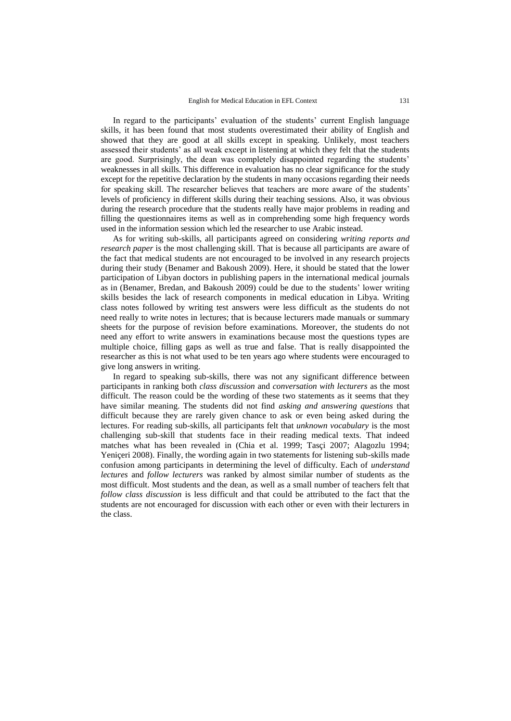In regard to the participants' evaluation of the students' current English language skills, it has been found that most students overestimated their ability of English and showed that they are good at all skills except in speaking. Unlikely, most teachers assessed their students' as all weak except in listening at which they felt that the students are good. Surprisingly, the dean was completely disappointed regarding the students' weaknesses in all skills. This difference in evaluation has no clear significance for the study except for the repetitive declaration by the students in many occasions regarding their needs for speaking skill. The researcher believes that teachers are more aware of the students' levels of proficiency in different skills during their teaching sessions. Also, it was obvious during the research procedure that the students really have major problems in reading and filling the questionnaires items as well as in comprehending some high frequency words used in the information session which led the researcher to use Arabic instead.

As for writing sub-skills, all participants agreed on considering *writing reports and research paper* is the most challenging skill. That is because all participants are aware of the fact that medical students are not encouraged to be involved in any research projects during their study (Benamer and Bakoush 2009). Here, it should be stated that the lower participation of Libyan doctors in publishing papers in the international medical journals as in (Benamer, Bredan, and Bakoush 2009) could be due to the students' lower writing skills besides the lack of research components in medical education in Libya. Writing class notes followed by writing test answers were less difficult as the students do not need really to write notes in lectures; that is because lecturers made manuals or summary sheets for the purpose of revision before examinations. Moreover, the students do not need any effort to write answers in examinations because most the questions types are multiple choice, filling gaps as well as true and false. That is really disappointed the researcher as this is not what used to be ten years ago where students were encouraged to give long answers in writing.

In regard to speaking sub-skills, there was not any significant difference between participants in ranking both *class discussion* and *conversation with lecturers* as the most difficult. The reason could be the wording of these two statements as it seems that they have similar meaning. The students did not find *asking and answering questions* that difficult because they are rarely given chance to ask or even being asked during the lectures. For reading sub-skills, all participants felt that *unknown vocabulary* is the most challenging sub-skill that students face in their reading medical texts. That indeed matches what has been revealed in (Chia et al. 1999; Tasçi 2007; Alagozlu 1994; Yeniçeri 2008). Finally, the wording again in two statements for listening sub-skills made confusion among participants in determining the level of difficulty. Each of *understand lectures* and *follow lecturers* was ranked by almost similar number of students as the most difficult. Most students and the dean, as well as a small number of teachers felt that *follow class discussion* is less difficult and that could be attributed to the fact that the students are not encouraged for discussion with each other or even with their lecturers in the class.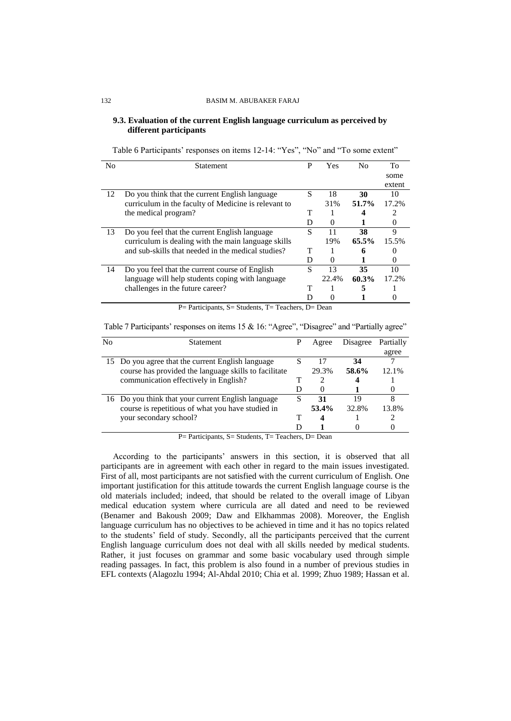### **9.3. Evaluation of the current English language curriculum as perceived by different participants**

| Table 6 Participants' responses on items 12-14: "Yes", "No" and "To some extent" |  |  |
|----------------------------------------------------------------------------------|--|--|
|----------------------------------------------------------------------------------|--|--|

| No | <b>Statement</b>                                       | P | Yes      | N <sub>0</sub> | To     |
|----|--------------------------------------------------------|---|----------|----------------|--------|
|    |                                                        |   |          |                | some   |
|    |                                                        |   |          |                | extent |
| 12 | Do you think that the current English language         | S | 18       | 30             | 10     |
|    | curriculum in the faculty of Medicine is relevant to   |   | 31%      | 51.7%          | 17.2%  |
|    | the medical program?                                   | т |          |                |        |
|    |                                                        | D | $\theta$ |                | 0      |
| 13 | Do you feel that the current English language          | S | 11       | 38             | 9      |
|    | curriculum is dealing with the main language skills    |   | 19%      | 65.5%          | 15.5%  |
|    | and sub-skills that needed in the medical studies?     |   |          | 6              |        |
|    |                                                        | D | $\theta$ |                |        |
| 14 | Do you feel that the current course of English         | S | 13       | 35             | 10     |
|    | language will help students coping with language       |   | 22.4%    | 60.3%          | 17.2%  |
|    | challenges in the future career?                       | т |          | 5              |        |
|    |                                                        |   |          |                |        |
|    | <b>D. D. B. Barrows C. Construction T. D. D. D. D.</b> |   |          |                |        |

P = Participants, S = Students, T = Teachers, D = Dean

Table 7 Participants' responses on items 15 & 16: "Agree", "Disagree" and "Partially agree"

| No | <b>Statement</b>                                      | P | Agree    | Disagree | Partially |
|----|-------------------------------------------------------|---|----------|----------|-----------|
|    |                                                       |   |          |          | agree     |
|    | 15 Do you agree that the current English language     |   | 17       | 34       |           |
|    | course has provided the language skills to facilitate |   | 29.3%    | 58.6%    | $12.1\%$  |
|    | communication effectively in English?                 |   |          |          |           |
|    |                                                       | D | $\left($ |          |           |
|    | 16 Do you think that your current English language    | S | 31       | 19       |           |
|    | course is repetitious of what you have studied in     |   | 53.4%    | 32.8%    | 13.8%     |
|    | your secondary school?                                |   |          |          |           |
|    |                                                       |   |          |          |           |

P= Participants, S= Students, T= Teachers, D= Dean

According to the participants' answers in this section, it is observed that all participants are in agreement with each other in regard to the main issues investigated. First of all, most participants are not satisfied with the current curriculum of English. One important justification for this attitude towards the current English language course is the old materials included; indeed, that should be related to the overall image of Libyan medical education system where curricula are all dated and need to be reviewed (Benamer and Bakoush 2009; Daw and Elkhammas 2008). Moreover, the English language curriculum has no objectives to be achieved in time and it has no topics related to the students' field of study. Secondly, all the participants perceived that the current English language curriculum does not deal with all skills needed by medical students. Rather, it just focuses on grammar and some basic vocabulary used through simple reading passages. In fact, this problem is also found in a number of previous studies in EFL contexts (Alagozlu 1994; Al-Ahdal 2010; Chia et al. 1999; Zhuo 1989; Hassan et al.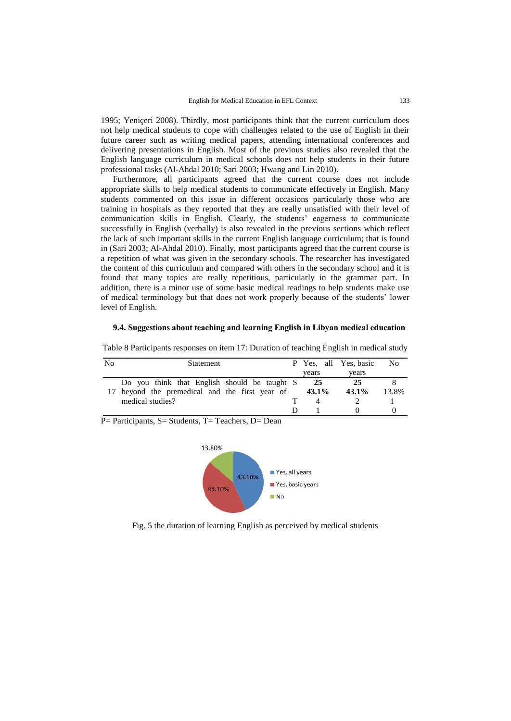1995; Yeniçeri 2008). Thirdly, most participants think that the current curriculum does not help medical students to cope with challenges related to the use of English in their future career such as writing medical papers, attending international conferences and delivering presentations in English. Most of the previous studies also revealed that the English language curriculum in medical schools does not help students in their future professional tasks (Al-Ahdal 2010; Sari 2003; Hwang and Lin 2010).

Furthermore, all participants agreed that the current course does not include appropriate skills to help medical students to communicate effectively in English. Many students commented on this issue in different occasions particularly those who are training in hospitals as they reported that they are really unsatisfied with their level of communication skills in English. Clearly, the students' eagerness to communicate successfully in English (verbally) is also revealed in the previous sections which reflect the lack of such important skills in the current English language curriculum; that is found in (Sari 2003; Al-Ahdal 2010). Finally, most participants agreed that the current course is a repetition of what was given in the secondary schools. The researcher has investigated the content of this curriculum and compared with others in the secondary school and it is found that many topics are really repetitious, particularly in the grammar part. In addition, there is a minor use of some basic medical readings to help students make use of medical terminology but that does not work properly because of the students' lower level of English.

#### **9.4. Suggestions about teaching and learning English in Libyan medical education**

| No | <b>Statement</b>                             |  |       | P Yes, all Yes, basic | N <sub>0</sub> |
|----|----------------------------------------------|--|-------|-----------------------|----------------|
|    |                                              |  | vears | vears                 |                |
|    | Do you think that English should be taught S |  | 25    | 25                    |                |
|    | beyond the premedical and the first year of  |  | 43.1% | $43.1\%$              | 13.8%          |
|    | medical studies?                             |  |       |                       |                |
|    |                                              |  |       |                       |                |

Table 8 Participants responses on item 17: Duration of teaching English in medical study

P = Participants, S = Students, T = Teachers, D = Dean



Fig. 5 the duration of learning English as perceived by medical students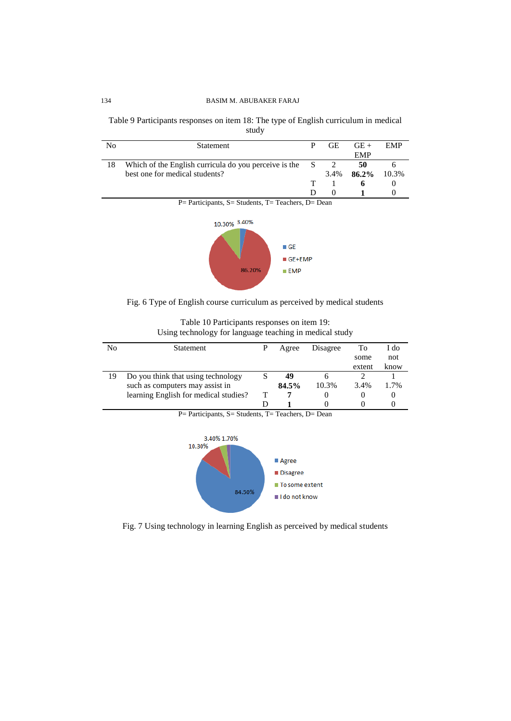Table 9 Participants responses on item 18: The type of English curriculum in medical study

| No | <b>Statement</b>                                        | <b>GE</b> | $GE +$     | EMP   |
|----|---------------------------------------------------------|-----------|------------|-------|
|    |                                                         |           | <b>EMP</b> |       |
| 18 | Which of the English curricula do you perceive is the S |           | 50         |       |
|    | best one for medical students?                          | 3.4%      | 86.2%      | 10.3% |
|    |                                                         |           | n.         |       |
|    |                                                         | $\theta$  |            |       |
|    | $P=$ Participants, S = Students, T = Teachers, D = Dean |           |            |       |





Fig. 6 Type of English course curriculum as perceived by medical students

| Table 10 Participants responses on item 19:             |
|---------------------------------------------------------|
| Using technology for language teaching in medical study |

| No | <b>Statement</b>                      |   | Agree | Disagree | To     | I do   |
|----|---------------------------------------|---|-------|----------|--------|--------|
|    |                                       |   |       |          | some   | not    |
|    |                                       |   |       |          | extent | know   |
|    | Do you think that using technology    |   | 49    |          |        |        |
|    | such as computers may assist in       |   | 84.5% | 10.3%    | 3.4%   | $.7\%$ |
|    | learning English for medical studies? | т |       |          |        |        |
|    |                                       |   |       |          |        |        |



P= Participants, S= Students, T= Teachers, D= Dean

Fig. 7 Using technology in learning English as perceived by medical students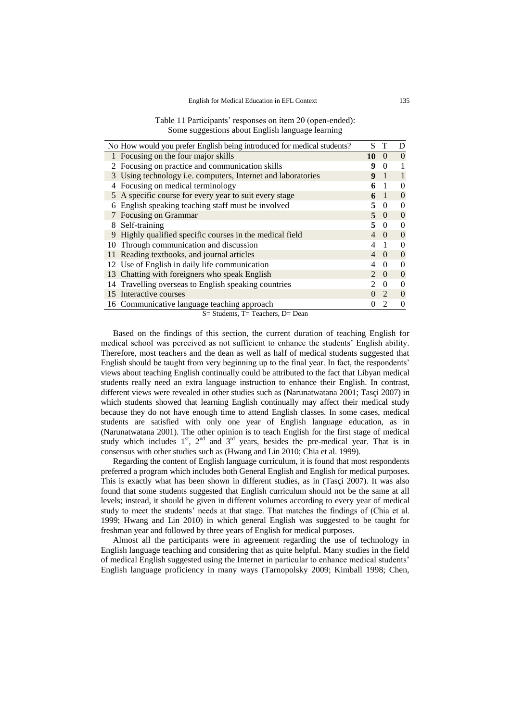| Table 11 Participants' responses on item 20 (open-ended): |
|-----------------------------------------------------------|
| Some suggestions about English language learning          |

| No How would you prefer English being introduced for medical students? | S                                                            |                             | D                           |                |
|------------------------------------------------------------------------|--------------------------------------------------------------|-----------------------------|-----------------------------|----------------|
|                                                                        | 1 Focusing on the four major skills                          | 10                          | $\Omega$                    | $\Omega$       |
|                                                                        | 2 Focusing on practice and communication skills              | q                           | 0                           |                |
|                                                                        | 3 Using technology i.e. computers, Internet and laboratories | 9                           |                             |                |
|                                                                        | Focusing on medical terminology                              | 6                           |                             | $\theta$       |
|                                                                        | 5 A specific course for every year to suit every stage       | 6                           | -1                          | $\theta$       |
|                                                                        | English speaking teaching staff must be involved             | 5                           | $\Omega$                    | $\theta$       |
|                                                                        | Focusing on Grammar                                          | 5                           | $\left( \right)$            | $\theta$       |
| 8                                                                      | Self-training                                                | 5                           | $\Omega$                    | $\theta$       |
| 9                                                                      | Highly qualified specific courses in the medical field       | 4                           | $\left( \right)$            | $\theta$       |
|                                                                        | 10 Through communication and discussion                      | 4                           |                             | $\theta$       |
|                                                                        | 11 Reading textbooks, and journal articles                   | 4                           | $\Omega$                    | $\theta$       |
|                                                                        | 12 Use of English in daily life communication                | 4                           | 0                           | $\theta$       |
|                                                                        | 13 Chatting with foreigners who speak English                | $\mathcal{D}_{\mathcal{L}}$ | $\Omega$                    | $\theta$       |
|                                                                        | 14 Travelling overseas to English speaking countries         | 2                           | 0                           | $\theta$       |
|                                                                        | 15 Interactive courses                                       |                             | $\mathcal{D}_{\mathcal{L}}$ | $\Omega$       |
|                                                                        | 16 Communicative language teaching approach                  | $\Omega$                    | $\mathcal{D}_{\mathcal{L}}$ | $\overline{0}$ |

S= Students, T= Teachers, D= Dean

Based on the findings of this section, the current duration of teaching English for medical school was perceived as not sufficient to enhance the students' English ability. Therefore, most teachers and the dean as well as half of medical students suggested that English should be taught from very beginning up to the final year. In fact, the respondents' views about teaching English continually could be attributed to the fact that Libyan medical students really need an extra language instruction to enhance their English. In contrast, different views were revealed in other studies such as (Narunatwatana 2001; Tasçi 2007) in which students showed that learning English continually may affect their medical study because they do not have enough time to attend English classes. In some cases, medical students are satisfied with only one year of English language education, as in (Narunatwatana 2001). The other opinion is to teach English for the first stage of medical study which includes  $1^{st}$ ,  $2^{nd}$  and  $3^{rd}$  years, besides the pre-medical year. That is in consensus with other studies such as (Hwang and Lin 2010; Chia et al. 1999).

Regarding the content of English language curriculum, it is found that most respondents preferred a program which includes both General English and English for medical purposes. This is exactly what has been shown in different studies, as in (Tasçi 2007). It was also found that some students suggested that English curriculum should not be the same at all levels; instead, it should be given in different volumes according to every year of medical study to meet the students' needs at that stage. That matches the findings of (Chia et al. 1999; Hwang and Lin 2010) in which general English was suggested to be taught for freshman year and followed by three years of English for medical purposes.

Almost all the participants were in agreement regarding the use of technology in English language teaching and considering that as quite helpful. Many studies in the field of medical English suggested using the Internet in particular to enhance medical students' English language proficiency in many ways (Tarnopolsky 2009; Kimball 1998; Chen,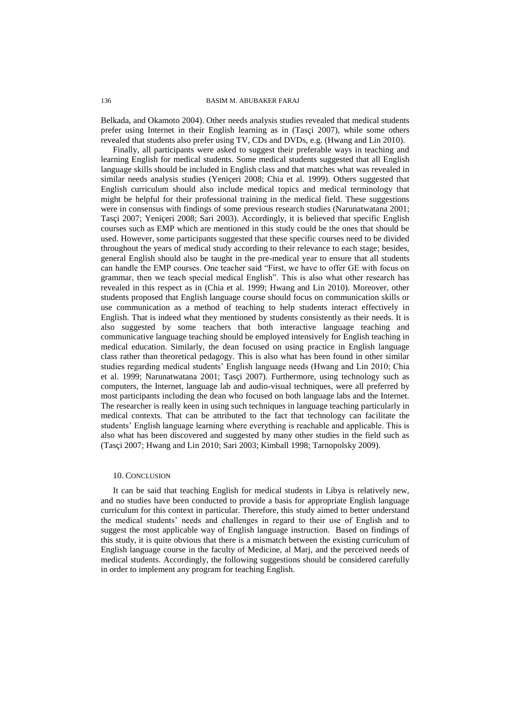Belkada, and Okamoto 2004). Other needs analysis studies revealed that medical students prefer using Internet in their English learning as in (Tasçi 2007), while some others revealed that students also prefer using TV, CDs and DVDs, e.g. (Hwang and Lin 2010).

Finally, all participants were asked to suggest their preferable ways in teaching and learning English for medical students. Some medical students suggested that all English language skills should be included in English class and that matches what was revealed in similar needs analysis studies (Yeniçeri 2008; Chia et al. 1999). Others suggested that English curriculum should also include medical topics and medical terminology that might be helpful for their professional training in the medical field. These suggestions were in consensus with findings of some previous research studies (Narunatwatana 2001; Tasçi 2007; Yeniçeri 2008; Sari 2003). Accordingly, it is believed that specific English courses such as EMP which are mentioned in this study could be the ones that should be used. However, some participants suggested that these specific courses need to be divided throughout the years of medical study according to their relevance to each stage; besides, general English should also be taught in the pre-medical year to ensure that all students can handle the EMP courses. One teacher said "First, we have to offer GE with focus on grammar, then we teach special medical English". This is also what other research has revealed in this respect as in (Chia et al. 1999; Hwang and Lin 2010). Moreover, other students proposed that English language course should focus on communication skills or use communication as a method of teaching to help students interact effectively in English. That is indeed what they mentioned by students consistently as their needs. It is also suggested by some teachers that both interactive language teaching and communicative language teaching should be employed intensively for English teaching in medical education. Similarly, the dean focused on using practice in English language class rather than theoretical pedagogy. This is also what has been found in other similar studies regarding medical students' English language needs (Hwang and Lin 2010; Chia et al. 1999; Narunatwatana 2001; Tasçi 2007). Furthermore, using technology such as computers, the Internet, language lab and audio-visual techniques, were all preferred by most participants including the dean who focused on both language labs and the Internet. The researcher is really keen in using such techniques in language teaching particularly in medical contexts. That can be attributed to the fact that technology can facilitate the students' English language learning where everything is reachable and applicable. This is also what has been discovered and suggested by many other studies in the field such as (Tasçi 2007; Hwang and Lin 2010; Sari 2003; Kimball 1998; Tarnopolsky 2009).

### 10. CONCLUSION

It can be said that teaching English for medical students in Libya is relatively new, and no studies have been conducted to provide a basis for appropriate English language curriculum for this context in particular. Therefore, this study aimed to better understand the medical students' needs and challenges in regard to their use of English and to suggest the most applicable way of English language instruction. Based on findings of this study, it is quite obvious that there is a mismatch between the existing curriculum of English language course in the faculty of Medicine, al Marj, and the perceived needs of medical students. Accordingly, the following suggestions should be considered carefully in order to implement any program for teaching English.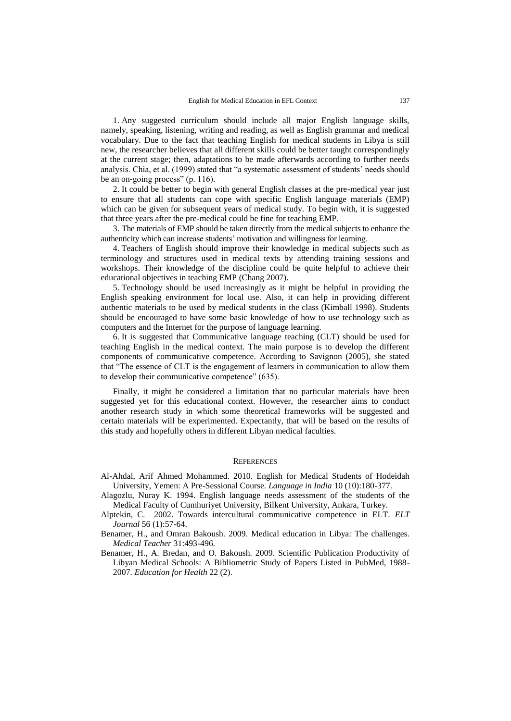1. Any suggested curriculum should include all major English language skills, namely, speaking, listening, writing and reading, as well as English grammar and medical vocabulary. Due to the fact that teaching English for medical students in Libya is still new, the researcher believes that all different skills could be better taught correspondingly at the current stage; then, adaptations to be made afterwards according to further needs analysis. Chia, et al. (1999) stated that "a systematic assessment of students' needs should be an on-going process" (p. 116).

2. It could be better to begin with general English classes at the pre-medical year just to ensure that all students can cope with specific English language materials (EMP) which can be given for subsequent years of medical study. To begin with, it is suggested that three years after the pre-medical could be fine for teaching EMP.

3. The materials of EMP should be taken directly from the medical subjects to enhance the authenticity which can increase students' motivation and willingness for learning.

4. Teachers of English should improve their knowledge in medical subjects such as terminology and structures used in medical texts by attending training sessions and workshops. Their knowledge of the discipline could be quite helpful to achieve their educational objectives in teaching EMP (Chang 2007).

5. Technology should be used increasingly as it might be helpful in providing the English speaking environment for local use. Also, it can help in providing different authentic materials to be used by medical students in the class (Kimball 1998). Students should be encouraged to have some basic knowledge of how to use technology such as computers and the Internet for the purpose of language learning.

6. It is suggested that Communicative language teaching (CLT) should be used for teaching English in the medical context. The main purpose is to develop the different components of communicative competence. According to Savignon (2005), she stated that "The essence of CLT is the engagement of learners in communication to allow them to develop their communicative competence" (635).

Finally, it might be considered a limitation that no particular materials have been suggested yet for this educational context. However, the researcher aims to conduct another research study in which some theoretical frameworks will be suggested and certain materials will be experimented. Expectantly, that will be based on the results of this study and hopefully others in different Libyan medical faculties.

#### **REFERENCES**

- Al-Ahdal, Arif Ahmed Mohammed. 2010. English for Medical Students of Hodeidah University, Yemen: A Pre-Sessional Course. *Language in India* 10 (10):180-377.
- Alagozlu, Nuray K. 1994. English language needs assessment of the students of the Medical Faculty of Cumhuriyet University, Bilkent University, Ankara, Turkey.
- Alptekin, C. 2002. Towards intercultural communicative competence in ELT. *ELT Journal* 56 (1):57-64.
- Benamer, H., and Omran Bakoush. 2009. Medical education in Libya: The challenges. *Medical Teacher* 31:493-496.
- Benamer, H., A. Bredan, and O. Bakoush. 2009. Scientific Publication Productivity of Libyan Medical Schools: A Bibliometric Study of Papers Listed in PubMed, 1988- 2007*. Education for Health* 22 (2).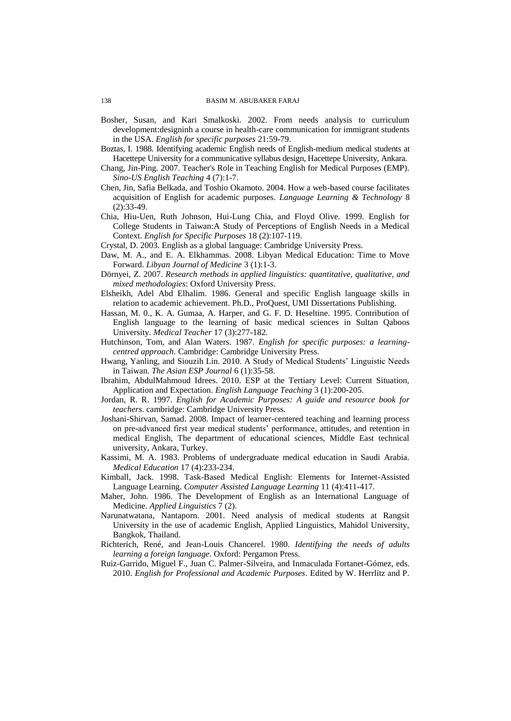- Bosher, Susan, and Kari Smalkoski. 2002. From needs analysis to curriculum development:designinh a course in health-care communication for immigrant students in the USA. *English for specific purposes* 21:59-79.
- Boztas, I. 1988. Identifying academic English needs of English-medium medical students at Hacettepe University for a communicative syllabus design, Hacettepe University, Ankara.
- Chang, Jin-Ping. 2007. Teacher's Role in Teaching English for Medical Purposes (EMP). *Sino-US English Teaching* 4 (7):1-7.
- Chen, Jin, Safia Belkada, and Toshio Okamoto. 2004. How a web-based course facilitates acquisition of English for academic purposes. *Language Learning & Technology* 8 (2):33-49.
- Chia, Hiu-Uen, Ruth Johnson, Hui-Lung Chia, and Floyd Olive. 1999. English for College Students in Taiwan:A Study of Perceptions of English Needs in a Medical Context. *English for Specific Purposes* 18 (2):107-119.
- Crystal, D. 2003. English as a global language: Cambridge University Press.
- Daw, M. A., and E. A. Elkhammas. 2008. Libyan Medical Education: Time to Move Forward. *Libyan Journal of Medicine* 3 (1):1-3.
- Dörnyei, Z. 2007. *Research methods in applied linguistics: quantitative, qualitative, and mixed methodologies*: Oxford University Press.
- Elsheikh, Adel Abd Elhalim. 1986. General and specific English language skills in relation to academic achievement. Ph.D., ProQuest, UMI Dissertations Publishing.
- Hassan, M. 0., K. A. Gumaa, A. Harper, and G. F. D. Heseltine. 1995. Contribution of English language to the learning of basic medical sciences in Sultan Qaboos University. *Medical Teacher* 17 (3):277-182.
- Hutchinson, Tom, and Alan Waters. 1987. *English for specific purposes: a learningcentred approach.* Cambridge: Cambridge University Press.
- Hwang, Yanling, and Siouzih Lin. 2010. A Study of Medical Students' Linguistic Needs in Taiwan. *The Asian ESP Journal* 6 (1):35-58.
- Ibrahim, AbdulMahmoud Idrees. 2010. ESP at the Tertiary Level: Current Situation, Application and Expectation. *English Language Teaching* 3 (1):200-205.
- Jordan, R. R. 1997. *English for Academic Purposes: A guide and resource book for teachers*. cambridge: Cambridge University Press.
- Joshani-Shirvan, Samad. 2008. Impact of learner-centered teaching and learning process on pre-advanced first year medical students' performance, attitudes, and retention in medical English, The department of educational sciences, Middle East technical university, Ankara, Turkey.
- Kassimi, M. A. 1983. Problems of undergraduate medical education in Saudi Arabia. *Medical Education* 17 (4):233-234.
- Kimball, Jack. 1998. Task-Based Medical English: Elements for Internet-Assisted Language Learning. *Computer Assisted Language Learning* 11 (4):411-417.
- Maher, John. 1986. The Development of English as an International Language of Medicine. *Applied Linguistics* 7 (2).
- Narunatwatana, Nantaporn. 2001. Need analysis of medical students at Rangsit University in the use of academic English, Applied Linguistics, Mahidol University, Bangkok, Thailand.
- Richterich, René, and Jean-Louis Chancerel. 1980. *Identifying the needs of adults learning a foreign language*. Oxford: Pergamon Press.
- Ruiz-Garrido, Miguel F., Juan C. Palmer-Silveira, and Inmaculada Fortanet-Gómez, eds. 2010. *English for Professional and Academic Purposes*. Edited by W. Herrlitz and P.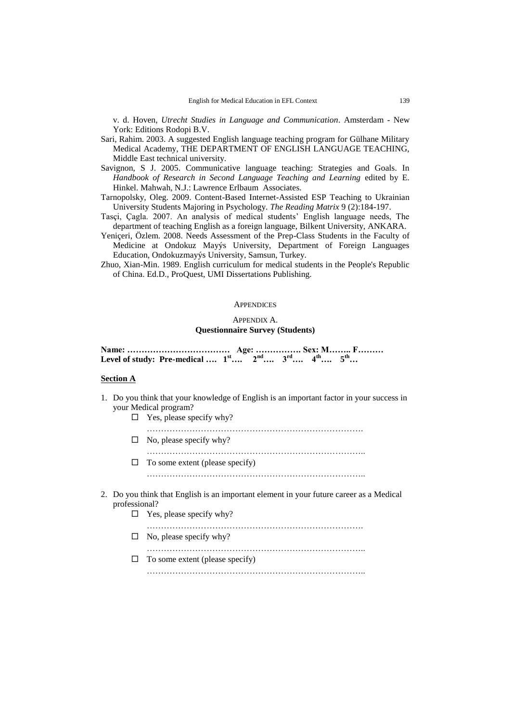v. d. Hoven, *Utrecht Studies in Language and Communication*. Amsterdam - New York: Editions Rodopi B.V.

- Sari, Rahim. 2003. A suggested English language teaching program for Gülhane Military Medical Academy, THE DEPARTMENT OF ENGLISH LANGUAGE TEACHING, Middle East technical university.
- Savignon, S J. 2005. Communicative language teaching: Strategies and Goals. In *Handbook of Research in Second Language Teaching and Learning* edited by E. Hinkel. Mahwah, N.J.: Lawrence Erlbaum Associates.
- Tarnopolsky, Oleg. 2009. Content-Based Internet-Assisted ESP Teaching to Ukrainian University Students Majoring in Psychology. *The Reading Matrix* 9 (2):184-197.
- Tasçi, Çagla. 2007. An analysis of medical students' English language needs, The department of teaching English as a foreign language, Bilkent University, ANKARA.
- Yeniçeri, Özlem. 2008. Needs Assessment of the Prep-Class Students in the Faculty of Medicine at Ondokuz Mayýs University, Department of Foreign Languages Education, Ondokuzmayýs University, Samsun, Turkey.
- Zhuo, Xian-Min. 1989. English curriculum for medical students in the People's Republic of China. Ed.D., ProQuest, UMI Dissertations Publishing.

#### **APPENDICES**

# APPENDIX A. **Questionnaire Survey (Students)**

**Name: ……………………………… Age: ……………. Sex: M…….. F……… Level of study:** Pre-medical ....  $1^{st}$  ...  $2^{nd}$  ....  $3^{rd}$  ....  $4^{th}$  ....  $5^{th}$ ...

### **Section A**

- 1. Do you think that your knowledge of English is an important factor in your success in your Medical program?
	- $\Box$  Yes, please specify why?

………………………………………………………………….

- $\Box$  No, please specify why?
- …………………………………………………………………..  $\Box$  To some extent (please specify) …………………………………………………………………..
- 2. Do you think that English is an important element in your future career as a Medical professional?
	- $\Box$  Yes, please specify why?
	- ………………………………………………………………….  $\Box$  No, please specify why?

…………………………………………………………………..

 $\Box$  To some extent (please specify)

…………………………………………………………………..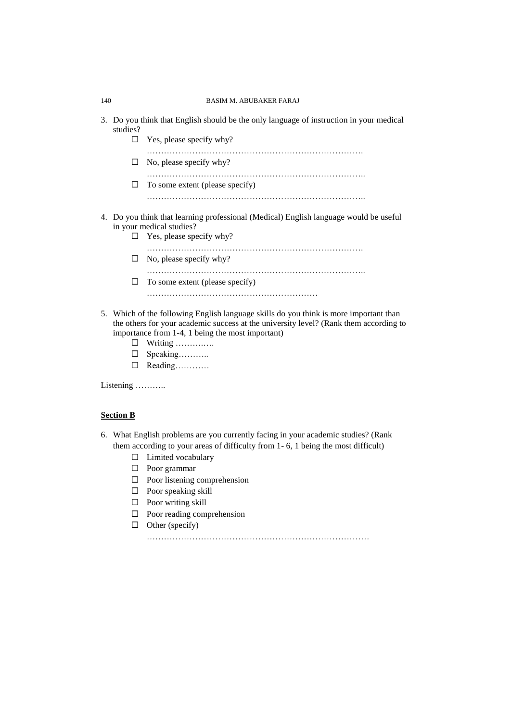- 3. Do you think that English should be the only language of instruction in your medical studies?
	- $\Box$  Yes, please specify why?

………………………………………………………………….

 $\Box$  No, please specify why?

…………………………………………………………………..

- $\Box$  To some extent (please specify) …………………………………………………………………..
- 4. Do you think that learning professional (Medical) English language would be useful in your medical studies?
	- $\Box$  Yes, please specify why?

………………………………………………………………….

- $\Box$  No, please specify why?
- …………………………………………………………………..  $\Box$  To some extent (please specify)
	- ……………………………………………………
- 5. Which of the following English language skills do you think is more important than the others for your academic success at the university level? (Rank them according to importance from 1-4, 1 being the most important)
	- $\Box$  Writing …………..
	- □ Speaking………
	- □ Reading…………

Listening ………..

### **Section B**

- 6. What English problems are you currently facing in your academic studies? (Rank them according to your areas of difficulty from 1- 6, 1 being the most difficult)
	- $\Box$  Limited vocabulary
	- □ Poor grammar
	- $\Box$  Poor listening comprehension
	- $\Box$  Poor speaking skill
	- $\Box$  Poor writing skill
	- $\Box$  Poor reading comprehension
	- $\Box$  Other (specify)

……………………………………………………………………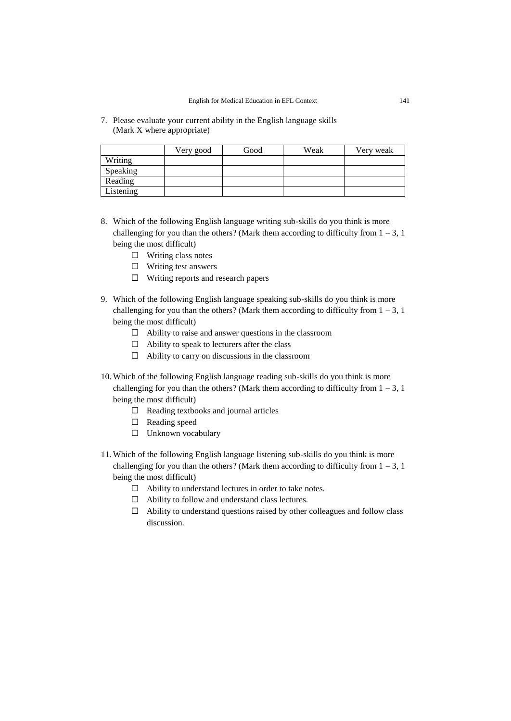7. Please evaluate your current ability in the English language skills (Mark X where appropriate)

|           | Very good | Good | Weak | Very weak |
|-----------|-----------|------|------|-----------|
| Writing   |           |      |      |           |
| Speaking  |           |      |      |           |
| Reading   |           |      |      |           |
| Listening |           |      |      |           |

- 8. Which of the following English language writing sub-skills do you think is more challenging for you than the others? (Mark them according to difficulty from  $1 - 3$ , 1) being the most difficult)
	- $\Box$  Writing class notes
	- $\Box$  Writing test answers
	- $\Box$  Writing reports and research papers
- 9. Which of the following English language speaking sub-skills do you think is more challenging for you than the others? (Mark them according to difficulty from  $1 - 3$ , 1) being the most difficult)
	- $\Box$  Ability to raise and answer questions in the classroom
	- $\Box$  Ability to speak to lecturers after the class
	- $\Box$  Ability to carry on discussions in the classroom
- 10. Which of the following English language reading sub-skills do you think is more challenging for you than the others? (Mark them according to difficulty from  $1 - 3$ , 1) being the most difficult)
	- $\Box$  Reading textbooks and journal articles
	- □ Reading speed
	- Unknown vocabulary
- 11. Which of the following English language listening sub-skills do you think is more challenging for you than the others? (Mark them according to difficulty from  $1 - 3$ , 1) being the most difficult)
	- $\Box$  Ability to understand lectures in order to take notes.
	- Ability to follow and understand class lectures.
	- $\Box$  Ability to understand questions raised by other colleagues and follow class discussion.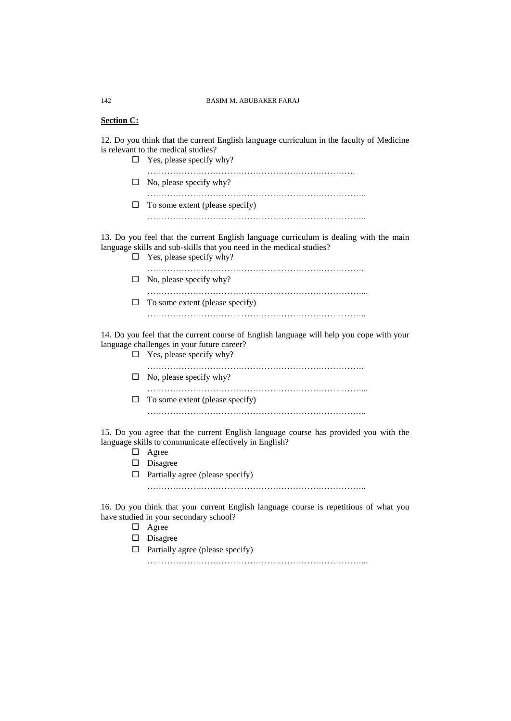### **Section C:**

12. Do you think that the current English language curriculum in the faculty of Medicine is relevant to the medical studies?

 $\Box$  Yes, please specify why? ……………………………………………………………….  $\Box$  No, please specify why? …………………………………………………………………..  $\Box$  To some extent (please specify) …………………………………………………………………..

13. Do you feel that the current English language curriculum is dealing with the main language skills and sub-skills that you need in the medical studies?

- $\Box$  Yes, please specify why? ………………………………………………………………….
- $\Box$  No, please specify why? …………………………………………………………………...  $\Box$  To some extent (please specify)
	- …………………………………………………………………..

14. Do you feel that the current course of English language will help you cope with your language challenges in your future career?

|   | $\Box$ Yes, please specify why? |
|---|---------------------------------|
|   | $\Box$ No, please specify why?  |
| ⊔ | To some extent (please specify) |
|   |                                 |

15. Do you agree that the current English language course has provided you with the language skills to communicate effectively in English?

- Agree
- $\square$  Disagree
- $\Box$  Partially agree (please specify)

…………………………………………………………………..

16. Do you think that your current English language course is repetitious of what you have studied in your secondary school?

- Agree
- Disagree
- $\Box$  Partially agree (please specify)

…………………………………………………………………...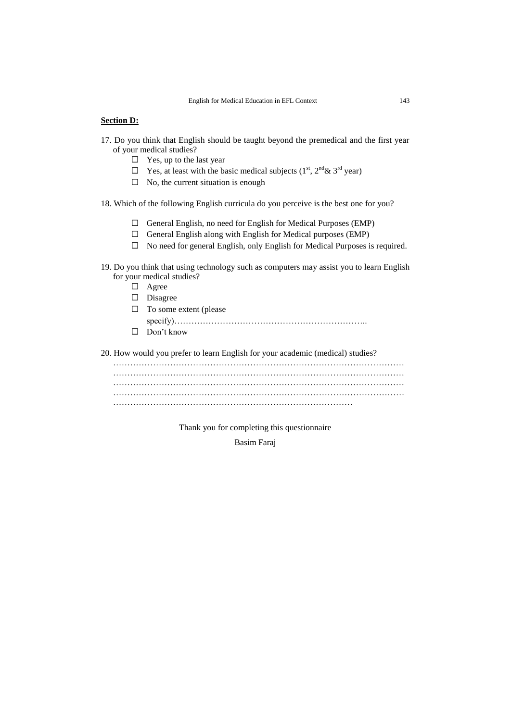### **Section D:**

- 17. Do you think that English should be taught beyond the premedical and the first year of your medical studies?
	- $\Box$  Yes, up to the last year
	- $\Box$  Yes, at least with the basic medical subjects (1<sup>st</sup>, 2<sup>nd</sup> & 3<sup>rd</sup> year)
	- $\Box$  No, the current situation is enough
- 18. Which of the following English curricula do you perceive is the best one for you?
	- $\Box$  General English, no need for English for Medical Purposes (EMP)
	- $\Box$  General English along with English for Medical purposes (EMP)
	- $\Box$  No need for general English, only English for Medical Purposes is required.

# 19. Do you think that using technology such as computers may assist you to learn English for your medical studies?

- Agree
- Disagree
- $\Box$  To some extent (please specify)…………………………………………………………..
- □ Don't know

20. How would you prefer to learn English for your academic (medical) studies?

………………………………………………………………………………………… ………………………………………………………………………………………… ………………………………………………………………………………………… ………………………………………………………………………………………… …………………………………………………………………………

Thank you for completing this questionnaire

Basim Faraj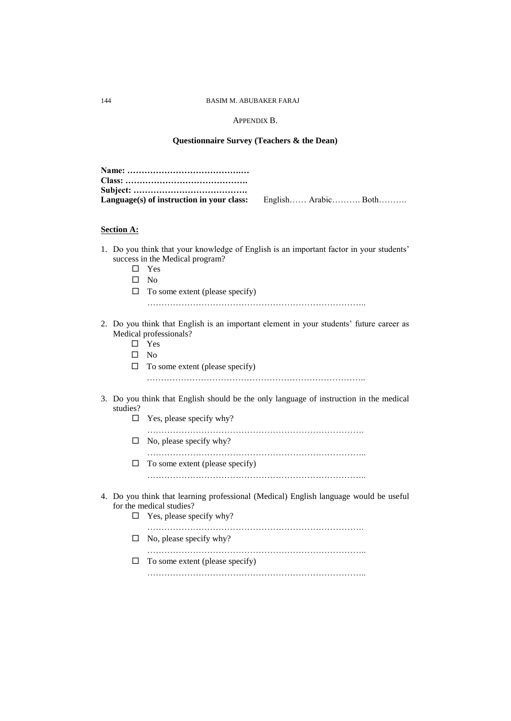# APPENDIX B.

# **Questionnaire Survey (Teachers & the Dean)**

|                   | Language(s) of instruction in your class:<br>English Arabic Both                                                                                                                      |
|-------------------|---------------------------------------------------------------------------------------------------------------------------------------------------------------------------------------|
| <b>Section A:</b> |                                                                                                                                                                                       |
| □<br>□            | 1. Do you think that your knowledge of English is an important factor in your students'<br>success in the Medical program?<br>Yes<br>$\square$ No<br>To some extent (please specify)  |
| □                 | 2. Do you think that English is an important element in your students' future career as<br>Medical professionals?<br>$\square$ Yes<br>$\square$ No<br>To some extent (please specify) |
| studies?          | 3. Do you think that English should be the only language of instruction in the medical                                                                                                |
| □                 | Yes, please specify why?                                                                                                                                                              |
| ப                 | No, please specify why?                                                                                                                                                               |
| □                 | To some extent (please specify)                                                                                                                                                       |
| $\Box$            | 4. Do you think that learning professional (Medical) English language would be useful<br>for the medical studies?<br>Yes, please specify why?                                         |
| ⊔                 | No, please specify why?                                                                                                                                                               |
| ப                 | To some extent (please specify)                                                                                                                                                       |
|                   |                                                                                                                                                                                       |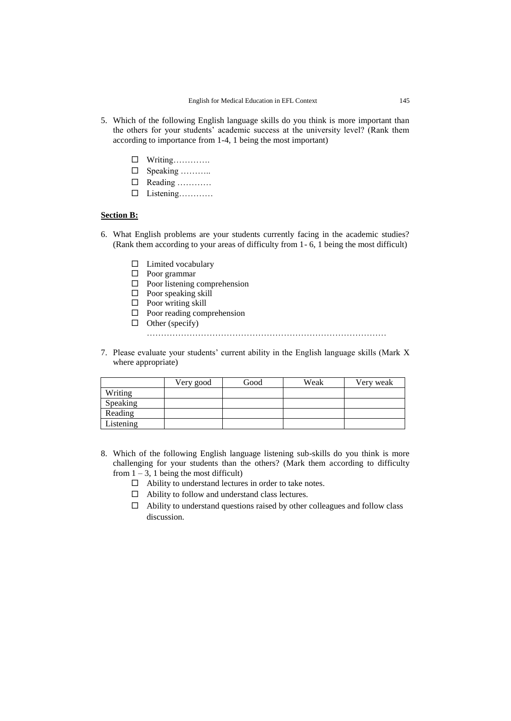- 5. Which of the following English language skills do you think is more important than the others for your students' academic success at the university level? (Rank them according to importance from 1-4, 1 being the most important)
	- Writing………….
	- □ Speaking …………
	- $\Box$  Reading …………
	- Listening…………

# **Section B:**

- 6. What English problems are your students currently facing in the academic studies? (Rank them according to your areas of difficulty from 1- 6, 1 being the most difficult)
	- $\Box$  Limited vocabulary
	- □ Poor grammar
	- $\Box$  Poor listening comprehension
	- $\Box$  Poor speaking skill
	- $\Box$  Poor writing skill
	- $\Box$  Poor reading comprehension
	- $\Box$  Other (specify)

…………………………………………………………………………

7. Please evaluate your students' current ability in the English language skills (Mark X where appropriate)

|           | Very good | Good | Weak | Very weak |
|-----------|-----------|------|------|-----------|
| Writing   |           |      |      |           |
| Speaking  |           |      |      |           |
| Reading   |           |      |      |           |
| Listening |           |      |      |           |

- 8. Which of the following English language listening sub-skills do you think is more challenging for your students than the others? (Mark them according to difficulty from  $1 - 3$ , 1 being the most difficult)
	- $\Box$  Ability to understand lectures in order to take notes.
	- $\Box$  Ability to follow and understand class lectures.
	- $\Box$  Ability to understand questions raised by other colleagues and follow class discussion.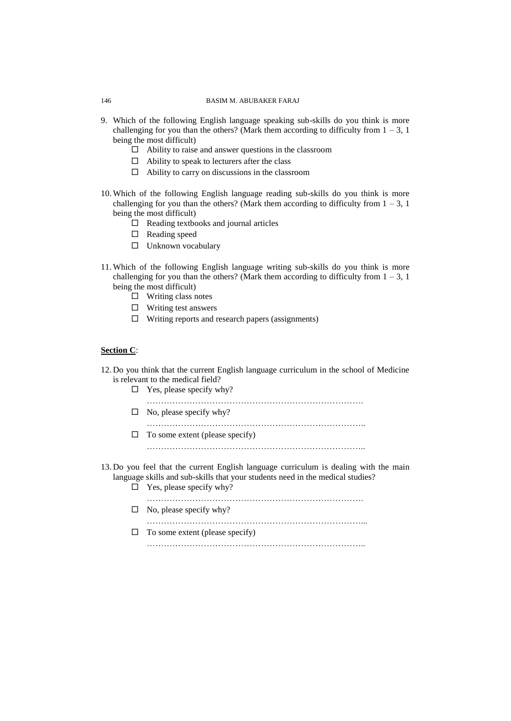- 9. Which of the following English language speaking sub-skills do you think is more challenging for you than the others? (Mark them according to difficulty from  $1 - 3$ , 1) being the most difficult)
	- $\Box$  Ability to raise and answer questions in the classroom
	- $\Box$  Ability to speak to lecturers after the class
	- $\Box$  Ability to carry on discussions in the classroom
- 10. Which of the following English language reading sub-skills do you think is more challenging for you than the others? (Mark them according to difficulty from  $1 - 3$ , 1) being the most difficult)
	- $\Box$  Reading textbooks and journal articles
	- $\square$  Reading speed
	- $\square$  Unknown vocabulary
- 11. Which of the following English language writing sub-skills do you think is more challenging for you than the others? (Mark them according to difficulty from  $1 - 3$ , 1) being the most difficult)
	- $\square$  Writing class notes
	- $\Box$  Writing test answers
	- $\Box$  Writing reports and research papers (assignments)

# **Section C**:

- 12. Do you think that the current English language curriculum in the school of Medicine is relevant to the medical field?
	- $\Box$  Yes, please specify why?
	- ………………………………………………………………….  $\Box$  No, please specify why?
	- …………………………………………………………………..  $\Box$  To some extent (please specify) …………………………………………………………………..
- 13. Do you feel that the current English language curriculum is dealing with the main language skills and sub-skills that your students need in the medical studies?
	- $\Box$  Yes, please specify why?
	- ………………………………………………………………….  $\Box$  No, please specify why? …………………………………………………………………...
	- $\Box$  To some extent (please specify)
		- …………………………………………………………………..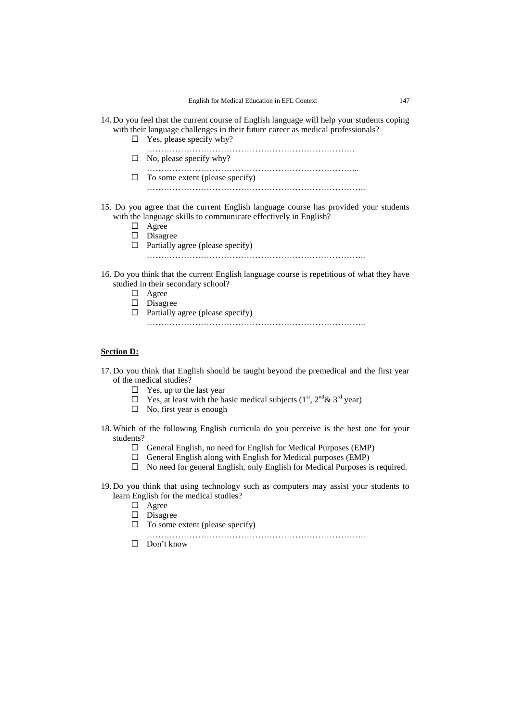- 14. Do you feel that the current course of English language will help your students coping with their language challenges in their future career as medical professionals?
	- $\Box$  Yes, please specify why?

……………………………………………………………….  $\Box$  No, please specify why? ………………………………………………………………...

- $\Box$  To some extent (please specify) …………………………………………………………………..
- 15. Do you agree that the current English language course has provided your students with the language skills to communicate effectively in English?
	- □ Agree
	- Disagree
	- $\Box$  Partially agree (please specify)

…………………………………………………………………..

- 16. Do you think that the current English language course is repetitious of what they have studied in their secondary school?
	- Agree
	- Disagree
	- $\Box$  Partially agree (please specify)
		- …………………………………………………………………..

# **Section D:**

- 17. Do you think that English should be taught beyond the premedical and the first year of the medical studies?
	- $\Box$  Yes, up to the last year
	- $\Box$  Yes, at least with the basic medical subjects (1<sup>st</sup>, 2<sup>nd</sup> & 3<sup>rd</sup> year)
	- $\square$  No, first year is enough
- 18. Which of the following English curricula do you perceive is the best one for your students?
	- General English, no need for English for Medical Purposes (EMP)
	- $\square$  General English along with English for Medical purposes (EMP)
	- $\Box$  No need for general English, only English for Medical Purposes is required.
- 19. Do you think that using technology such as computers may assist your students to learn English for the medical studies?
	- Agree
	- $\square$  Disagree
	- $\Box$  To some extent (please specify)
	- …………………………………………………………………..
	- $\Box$  Don't know